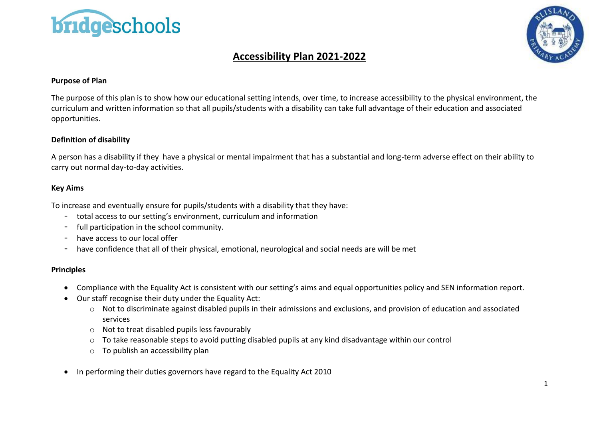



## **Accessibility Plan 2021-2022**

### **Purpose of Plan**

The purpose of this plan is to show how our educational setting intends, over time, to increase accessibility to the physical environment, the curriculum and written information so that all pupils/students with a disability can take full advantage of their education and associated opportunities.

### **Definition of disability**

A person has a disability if they have a physical or mental impairment that has a substantial and long-term adverse effect on their ability to carry out normal day-to-day activities.

#### **Key Aims**

To increase and eventually ensure for pupils/students with a disability that they have:

- total access to our setting's environment, curriculum and information
- full participation in the school community.
- have access to our local offer
- have confidence that all of their physical, emotional, neurological and social needs are will be met

### **Principles**

- Compliance with the Equality Act is consistent with our setting's aims and equal opportunities policy and SEN information report.
- Our staff recognise their duty under the Equality Act:
	- o Not to discriminate against disabled pupils in their admissions and exclusions, and provision of education and associated services
	- o Not to treat disabled pupils less favourably
	- o To take reasonable steps to avoid putting disabled pupils at any kind disadvantage within our control
	- o To publish an accessibility plan
- In performing their duties governors have regard to the Equality Act 2010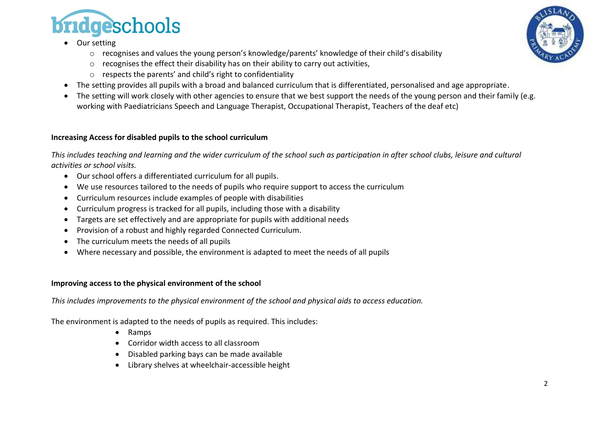

- Our setting
	- o recognises and values the young person's knowledge/parents' knowledge of their child's disability
	- o recognises the effect their disability has on their ability to carry out activities,
	- o respects the parents' and child's right to confidentiality
- The setting provides all pupils with a broad and balanced curriculum that is differentiated, personalised and age appropriate.
- The setting will work closely with other agencies to ensure that we best support the needs of the young person and their family (e.g. working with Paediatricians Speech and Language Therapist, Occupational Therapist, Teachers of the deaf etc)

## **Increasing Access for disabled pupils to the school curriculum**

*This includes teaching and learning and the wider curriculum of the school such as participation in after school clubs, leisure and cultural activities or school visits.*

- Our school offers a differentiated curriculum for all pupils.
- We use resources tailored to the needs of pupils who require support to access the curriculum
- Curriculum resources include examples of people with disabilities
- Curriculum progress is tracked for all pupils, including those with a disability
- Targets are set effectively and are appropriate for pupils with additional needs
- Provision of a robust and highly regarded Connected Curriculum.
- The curriculum meets the needs of all pupils
- Where necessary and possible, the environment is adapted to meet the needs of all pupils

## **Improving access to the physical environment of the school**

*This includes improvements to the physical environment of the school and physical aids to access education.*

The environment is adapted to the needs of pupils as required. This includes:

- Ramps
- Corridor width access to all classroom
- Disabled parking bays can be made available
- Library shelves at wheelchair-accessible height

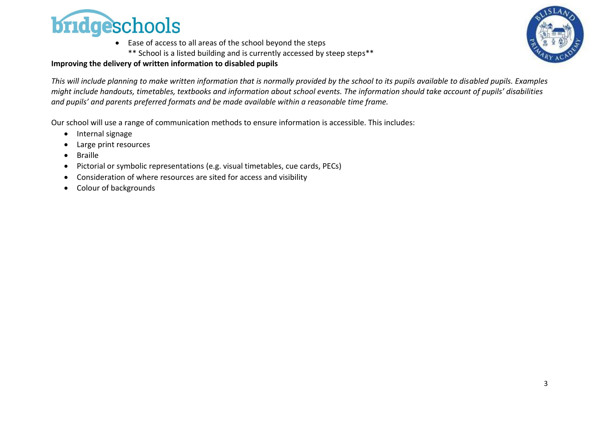

• Ease of access to all areas of the school beyond the steps \*\* School is a listed building and is currently accessed by steep steps\*\*



### **Improving the delivery of written information to disabled pupils**

*This will include planning to make written information that is normally provided by the school to its pupils available to disabled pupils. Examples might include handouts, timetables, textbooks and information about school events. The information should take account of pupils' disabilities and pupils' and parents preferred formats and be made available within a reasonable time frame.*

Our school will use a range of communication methods to ensure information is accessible. This includes:

- Internal signage
- Large print resources
- Braille
- Pictorial or symbolic representations (e.g. visual timetables, cue cards, PECs)
- Consideration of where resources are sited for access and visibility
- Colour of backgrounds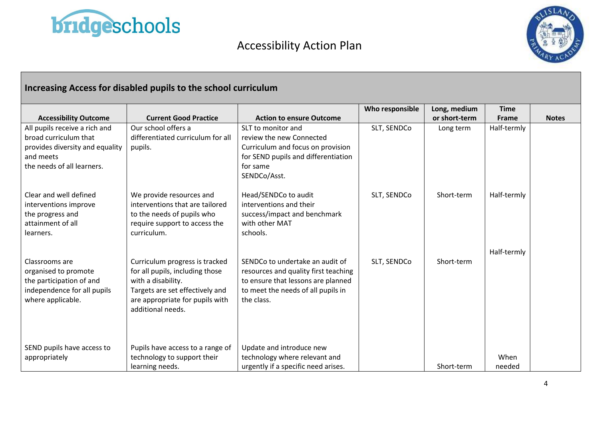

# Accessibility Action Plan



## **Increasing Access for disabled pupils to the school curriculum**

|                                 |                                   |                                      | Who responsible | Long, medium  | <b>Time</b> |              |
|---------------------------------|-----------------------------------|--------------------------------------|-----------------|---------------|-------------|--------------|
| <b>Accessibility Outcome</b>    | <b>Current Good Practice</b>      | <b>Action to ensure Outcome</b>      |                 | or short-term | Frame       | <b>Notes</b> |
| All pupils receive a rich and   | Our school offers a               | SLT to monitor and                   | SLT, SENDCo     | Long term     | Half-termly |              |
| broad curriculum that           | differentiated curriculum for all | review the new Connected             |                 |               |             |              |
| provides diversity and equality | pupils.                           | Curriculum and focus on provision    |                 |               |             |              |
| and meets                       |                                   | for SEND pupils and differentiation  |                 |               |             |              |
| the needs of all learners.      |                                   | for same                             |                 |               |             |              |
|                                 |                                   | SENDCo/Asst.                         |                 |               |             |              |
| Clear and well defined          | We provide resources and          | Head/SENDCo to audit                 | SLT, SENDCo     | Short-term    | Half-termly |              |
| interventions improve           | interventions that are tailored   | interventions and their              |                 |               |             |              |
| the progress and                | to the needs of pupils who        | success/impact and benchmark         |                 |               |             |              |
| attainment of all               | require support to access the     | with other MAT                       |                 |               |             |              |
| learners.                       | curriculum.                       | schools.                             |                 |               |             |              |
|                                 |                                   |                                      |                 |               |             |              |
|                                 |                                   |                                      |                 |               | Half-termly |              |
| Classrooms are                  | Curriculum progress is tracked    | SENDCo to undertake an audit of      | SLT, SENDCo     | Short-term    |             |              |
| organised to promote            | for all pupils, including those   | resources and quality first teaching |                 |               |             |              |
| the participation of and        | with a disability.                | to ensure that lessons are planned   |                 |               |             |              |
| independence for all pupils     | Targets are set effectively and   | to meet the needs of all pupils in   |                 |               |             |              |
| where applicable.               | are appropriate for pupils with   | the class.                           |                 |               |             |              |
|                                 | additional needs.                 |                                      |                 |               |             |              |
|                                 |                                   |                                      |                 |               |             |              |
|                                 |                                   |                                      |                 |               |             |              |
| SEND pupils have access to      | Pupils have access to a range of  | Update and introduce new             |                 |               |             |              |
| appropriately                   | technology to support their       | technology where relevant and        |                 |               | When        |              |
|                                 | learning needs.                   | urgently if a specific need arises.  |                 | Short-term    | needed      |              |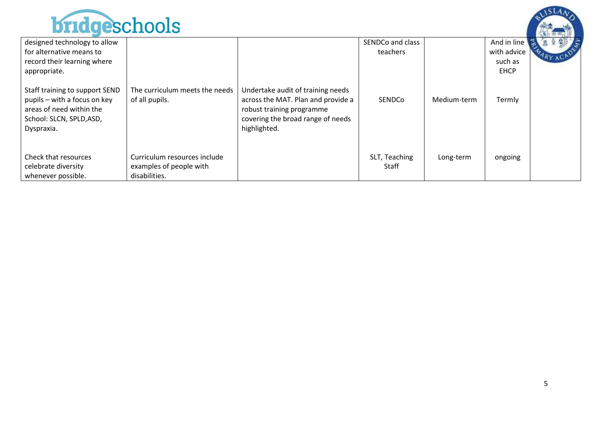

| MAAWWWWJJJIVVIU                                                                                                                      |                                                  |                                                                                                                                                           |                  |             |             |  |
|--------------------------------------------------------------------------------------------------------------------------------------|--------------------------------------------------|-----------------------------------------------------------------------------------------------------------------------------------------------------------|------------------|-------------|-------------|--|
| designed technology to allow                                                                                                         |                                                  |                                                                                                                                                           | SENDCo and class |             | And in line |  |
| for alternative means to                                                                                                             |                                                  |                                                                                                                                                           | teachers         |             | with advice |  |
| record their learning where                                                                                                          |                                                  |                                                                                                                                                           |                  |             | such as     |  |
| appropriate.                                                                                                                         |                                                  |                                                                                                                                                           |                  |             | <b>EHCP</b> |  |
| Staff training to support SEND<br>pupils – with a focus on key<br>areas of need within the<br>School: SLCN, SPLD, ASD,<br>Dyspraxia. | The curriculum meets the needs<br>of all pupils. | Undertake audit of training needs<br>across the MAT. Plan and provide a<br>robust training programme<br>covering the broad range of needs<br>highlighted. | SENDCo           | Medium-term | Termly      |  |
| Check that resources                                                                                                                 | Curriculum resources include                     |                                                                                                                                                           | SLT, Teaching    | Long-term   | ongoing     |  |
| celebrate diversity<br>whenever possible.                                                                                            | examples of people with<br>disabilities.         |                                                                                                                                                           | Staff            |             |             |  |
|                                                                                                                                      |                                                  |                                                                                                                                                           |                  |             |             |  |

 $SLA<sub>A</sub>$ 

ALLA ...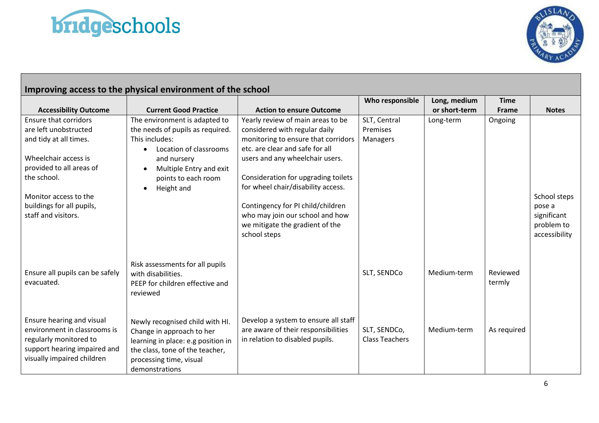



| Improving access to the physical environment of the school |                                      |                                      |                       |               |              |               |
|------------------------------------------------------------|--------------------------------------|--------------------------------------|-----------------------|---------------|--------------|---------------|
|                                                            |                                      |                                      | Who responsible       | Long, medium  | <b>Time</b>  |               |
| <b>Accessibility Outcome</b>                               | <b>Current Good Practice</b>         | <b>Action to ensure Outcome</b>      |                       | or short-term | <b>Frame</b> | <b>Notes</b>  |
| <b>Ensure that corridors</b>                               | The environment is adapted to        | Yearly review of main areas to be    | SLT, Central          | Long-term     | Ongoing      |               |
| are left unobstructed                                      | the needs of pupils as required.     | considered with regular daily        | Premises              |               |              |               |
| and tidy at all times.                                     | This includes:                       | monitoring to ensure that corridors  | Managers              |               |              |               |
|                                                            | Location of classrooms               | etc. are clear and safe for all      |                       |               |              |               |
| Wheelchair access is                                       | and nursery                          | users and any wheelchair users.      |                       |               |              |               |
| provided to all areas of                                   | Multiple Entry and exit<br>$\bullet$ |                                      |                       |               |              |               |
| the school.                                                | points to each room                  | Consideration for upgrading toilets  |                       |               |              |               |
|                                                            | Height and<br>$\bullet$              | for wheel chair/disability access.   |                       |               |              |               |
| Monitor access to the                                      |                                      |                                      |                       |               |              | School steps  |
| buildings for all pupils,                                  |                                      | Contingency for PI child/children    |                       |               |              | pose a        |
| staff and visitors.                                        |                                      | who may join our school and how      |                       |               |              | significant   |
|                                                            |                                      | we mitigate the gradient of the      |                       |               |              | problem to    |
|                                                            |                                      | school steps                         |                       |               |              | accessibility |
|                                                            |                                      |                                      |                       |               |              |               |
|                                                            |                                      |                                      |                       |               |              |               |
|                                                            | Risk assessments for all pupils      |                                      |                       |               |              |               |
| Ensure all pupils can be safely                            | with disabilities.                   |                                      | SLT, SENDCo           | Medium-term   | Reviewed     |               |
| evacuated.                                                 | PEEP for children effective and      |                                      |                       |               | termly       |               |
|                                                            | reviewed                             |                                      |                       |               |              |               |
|                                                            |                                      |                                      |                       |               |              |               |
|                                                            |                                      |                                      |                       |               |              |               |
| Ensure hearing and visual                                  | Newly recognised child with HI.      | Develop a system to ensure all staff |                       |               |              |               |
| environment in classrooms is                               | Change in approach to her            | are aware of their responsibilities  | SLT, SENDCo,          | Medium-term   | As required  |               |
| regularly monitored to                                     | learning in place: e.g position in   | in relation to disabled pupils.      | <b>Class Teachers</b> |               |              |               |
| support hearing impaired and                               | the class, tone of the teacher,      |                                      |                       |               |              |               |
| visually impaired children                                 | processing time, visual              |                                      |                       |               |              |               |
|                                                            | demonstrations                       |                                      |                       |               |              |               |

6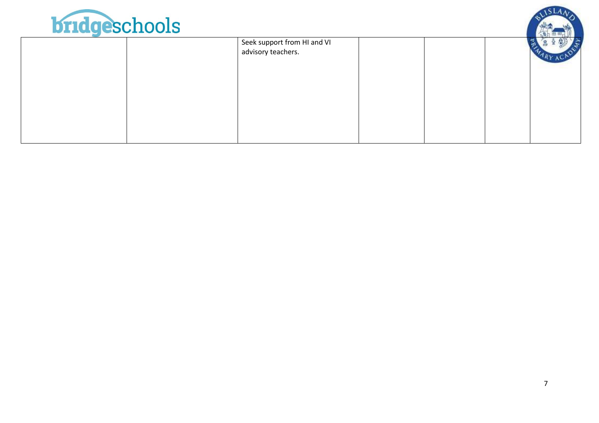

| <b>Messel Annual Schauer</b> |                             |  |  |  |
|------------------------------|-----------------------------|--|--|--|
|                              | Seek support from HI and VI |  |  |  |
|                              | advisory teachers.          |  |  |  |
|                              |                             |  |  |  |
|                              |                             |  |  |  |
|                              |                             |  |  |  |
|                              |                             |  |  |  |
|                              |                             |  |  |  |
|                              |                             |  |  |  |
|                              |                             |  |  |  |
|                              |                             |  |  |  |

 $SLA<sub>A</sub>$ 

Att of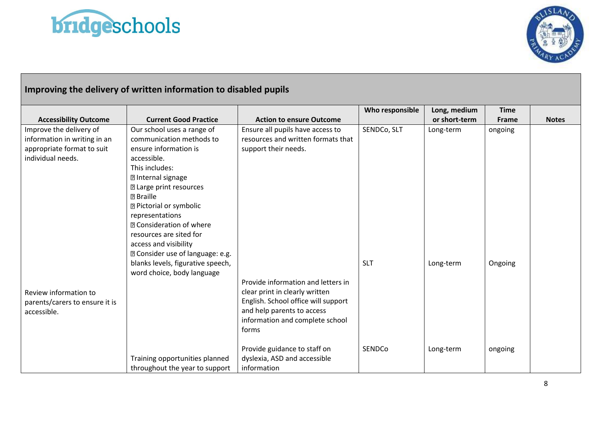



# **Improving the delivery of written information to disabled pupils**

|                                |                                   |                                     | Who responsible | Long, medium  | <b>Time</b> |              |
|--------------------------------|-----------------------------------|-------------------------------------|-----------------|---------------|-------------|--------------|
| <b>Accessibility Outcome</b>   | <b>Current Good Practice</b>      | <b>Action to ensure Outcome</b>     |                 | or short-term | Frame       | <b>Notes</b> |
| Improve the delivery of        | Our school uses a range of        | Ensure all pupils have access to    | SENDCo, SLT     | Long-term     | ongoing     |              |
| information in writing in an   | communication methods to          | resources and written formats that  |                 |               |             |              |
| appropriate format to suit     | ensure information is             | support their needs.                |                 |               |             |              |
| individual needs.              | accessible.                       |                                     |                 |               |             |              |
|                                | This includes:                    |                                     |                 |               |             |              |
|                                | <b>2 Internal signage</b>         |                                     |                 |               |             |              |
|                                | <b>2 Large print resources</b>    |                                     |                 |               |             |              |
|                                | <b>图 Braille</b>                  |                                     |                 |               |             |              |
|                                | <b>2 Pictorial or symbolic</b>    |                                     |                 |               |             |              |
|                                | representations                   |                                     |                 |               |             |              |
|                                | <b>R</b> Consideration of where   |                                     |                 |               |             |              |
|                                | resources are sited for           |                                     |                 |               |             |              |
|                                | access and visibility             |                                     |                 |               |             |              |
|                                | 2 Consider use of language: e.g.  |                                     |                 |               |             |              |
|                                | blanks levels, figurative speech, |                                     | <b>SLT</b>      | Long-term     | Ongoing     |              |
|                                | word choice, body language        |                                     |                 |               |             |              |
|                                |                                   | Provide information and letters in  |                 |               |             |              |
| Review information to          |                                   | clear print in clearly written      |                 |               |             |              |
| parents/carers to ensure it is |                                   | English. School office will support |                 |               |             |              |
| accessible.                    |                                   | and help parents to access          |                 |               |             |              |
|                                |                                   | information and complete school     |                 |               |             |              |
|                                |                                   | forms                               |                 |               |             |              |
|                                |                                   |                                     |                 |               |             |              |
|                                |                                   | Provide guidance to staff on        | SENDCo          | Long-term     | ongoing     |              |
|                                | Training opportunities planned    | dyslexia, ASD and accessible        |                 |               |             |              |
|                                | throughout the year to support    | information                         |                 |               |             |              |